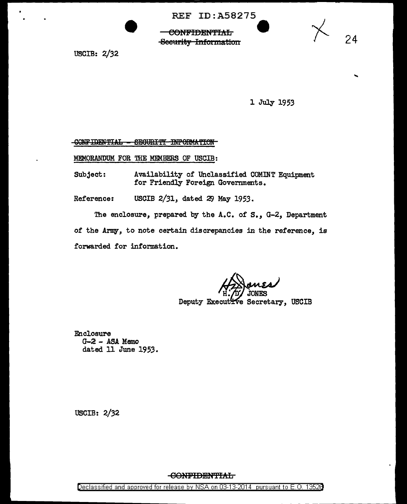REF ID:A58275<br>CONFIDENTIAL Security Information

USCIB: 2/32

1 July 1953

24

## CONFIDENTIAL - SEGURITY INFORMATION

MEMORANDUM FOR THE MEMBERS OF USCIB:

Subject: Availability of Unclassified COMINT Equipment for Friendly Foreign Governments.

Reference: USCIB 2/31, dated 29 May 1953.

The enclosure, prepared by the A.C. of S., G-2, Department of the Army, to note certain discrepancies in the reference, is forwarded for information.

Deputy Executive Secretary, USCIB

Enclosure  $G-Z - ASA$  Memo dated 11 June 1953.

USCIB: 2/32

**CONFIDENTIAL**